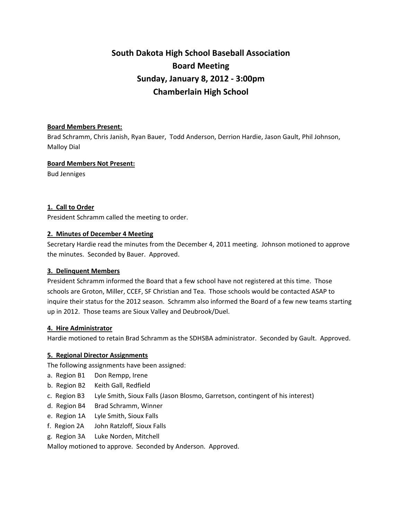# **South Dakota High School Baseball Association Board Meeting Sunday, January 8, 2012 ‐ 3:00pm Chamberlain High School**

#### **Board Members Present:**

Brad Schramm, Chris Janish, Ryan Bauer, Todd Anderson, Derrion Hardie, Jason Gault, Phil Johnson, Malloy Dial

#### **Board Members Not Present:**

Bud Jenniges

## **1. Call to Order**

President Schramm called the meeting to order.

#### **2. Minutes of December 4 Meeting**

Secretary Hardie read the minutes from the December 4, 2011 meeting. Johnson motioned to approve the minutes. Seconded by Bauer. Approved.

## **3. Delinquent Members**

President Schramm informed the Board that a few school have not registered at this time. Those schools are Groton, Miller, CCEF, SF Christian and Tea. Those schools would be contacted ASAP to inquire their status for the 2012 season. Schramm also informed the Board of a few new teams starting up in 2012. Those teams are Sioux Valley and Deubrook/Duel.

## **4. Hire Administrator**

Hardie motioned to retain Brad Schramm as the SDHSBA administrator. Seconded by Gault. Approved.

## **5. Regional Director Assignments**

The following assignments have been assigned:

- a. Region B1 Don Rempp, Irene
- b. Region B2 Keith Gall, Redfield
- c. Region B3 Lyle Smith, Sioux Falls (Jason Blosmo, Garretson, contingent of his interest)
- d. Region B4 Brad Schramm, Winner
- e. Region 1A Lyle Smith, Sioux Falls
- f. Region 2A John Ratzloff, Sioux Falls
- g. Region 3A Luke Norden, Mitchell

Malloy motioned to approve. Seconded by Anderson. Approved.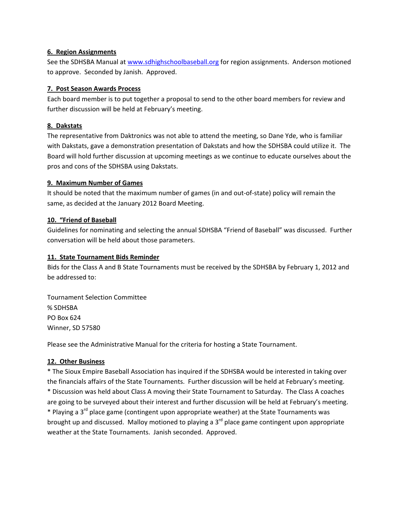#### **6. Region Assignments**

See the SDHSBA Manual at [www.sdhighschoolbaseball.org](http://www.sdhighschoolbaseball.org/) for region assignments. Anderson motioned to approve. Seconded by Janish. Approved.

## **7. Post Season Awards Process**

Each board member is to put together a proposal to send to the other board members for review and further discussion will be held at February's meeting.

## **8. Dakstats**

The representative from Daktronics was not able to attend the meeting, so Dane Yde, who is familiar with Dakstats, gave a demonstration presentation of Dakstats and how the SDHSBA could utilize it. The Board will hold further discussion at upcoming meetings as we continue to educate ourselves about the pros and cons of the SDHSBA using Dakstats.

#### **9. Maximum Number of Games**

It should be noted that the maximum number of games (in and out‐of‐state) policy will remain the same, as decided at the January 2012 Board Meeting.

#### **10. "Friend of Baseball**

Guidelines for nominating and selecting the annual SDHSBA "Friend of Baseball" was discussed. Further conversation will be held about those parameters.

## **11. State Tournament Bids Reminder**

Bids for the Class A and B State Tournaments must be received by the SDHSBA by February 1, 2012 and be addressed to:

Tournament Selection Committee % SDHSBA PO Box 624 Winner, SD 57580

Please see the Administrative Manual for the criteria for hosting a State Tournament.

## **12. Other Business**

\* The Sioux Empire Baseball Association has inquired if the SDHSBA would be interested in taking over the financials affairs of the State Tournaments. Further discussion will be held at February's meeting. \* Discussion was held about Class A moving their State Tournament to Saturday. The Class A coaches are going to be surveyed about their interest and further discussion will be held at February's meeting. \* Playing a 3<sup>rd</sup> place game (contingent upon appropriate weather) at the State Tournaments was brought up and discussed. Malloy motioned to playing a 3<sup>rd</sup> place game contingent upon appropriate weather at the State Tournaments. Janish seconded. Approved.